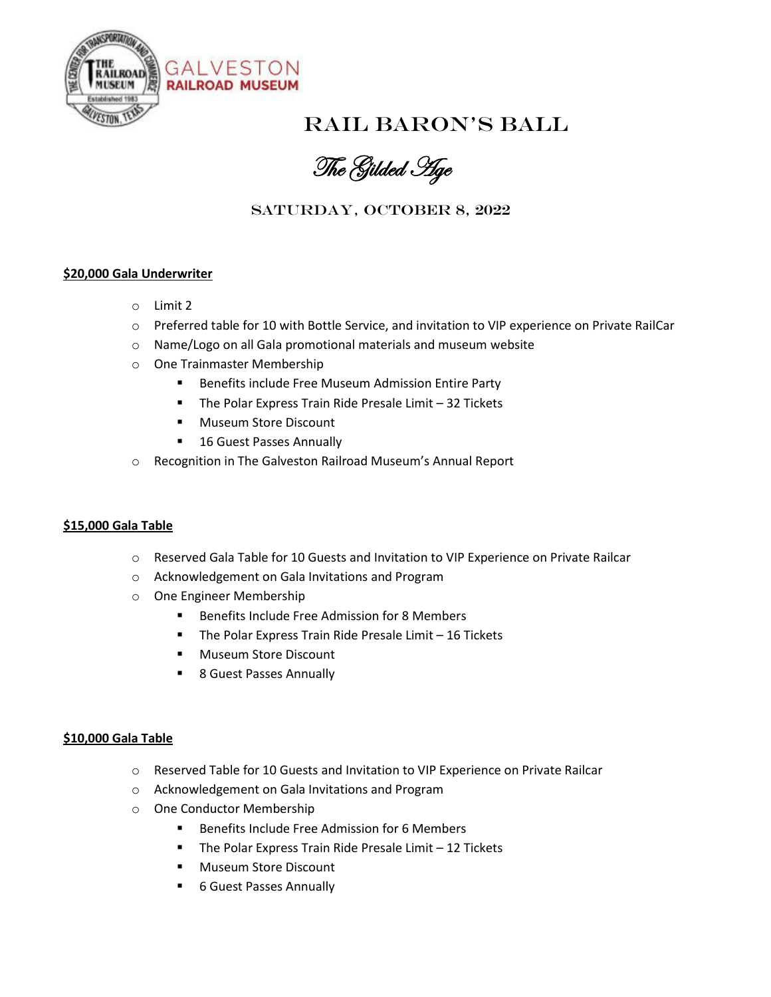

# Rail Baron's Ball

The Gilded Age

### SATURDAY, OCTOBER 8, 2022

#### **\$20,000 Gala Underwriter**

- o Limit 2
- o Preferred table for 10 with Bottle Service, and invitation to VIP experience on Private RailCar
- o Name/Logo on all Gala promotional materials and museum website
- o One Trainmaster Membership
	- Benefits include Free Museum Admission Entire Party
	- The Polar Express Train Ride Presale Limit 32 Tickets
	- Museum Store Discount
	- 16 Guest Passes Annually
- o Recognition in The Galveston Railroad Museum's Annual Report

#### **\$15,000 Gala Table**

- o Reserved Gala Table for 10 Guests and Invitation to VIP Experience on Private Railcar
- o Acknowledgement on Gala Invitations and Program
- o One Engineer Membership
	- Benefits Include Free Admission for 8 Members
	- The Polar Express Train Ride Presale Limit 16 Tickets
	- Museum Store Discount
	- 8 Guest Passes Annually

#### **\$10,000 Gala Table**

- o Reserved Table for 10 Guests and Invitation to VIP Experience on Private Railcar
- o Acknowledgement on Gala Invitations and Program
- o One Conductor Membership
	- Benefits Include Free Admission for 6 Members
	- The Polar Express Train Ride Presale Limit 12 Tickets
	- Museum Store Discount
	- 6 Guest Passes Annually